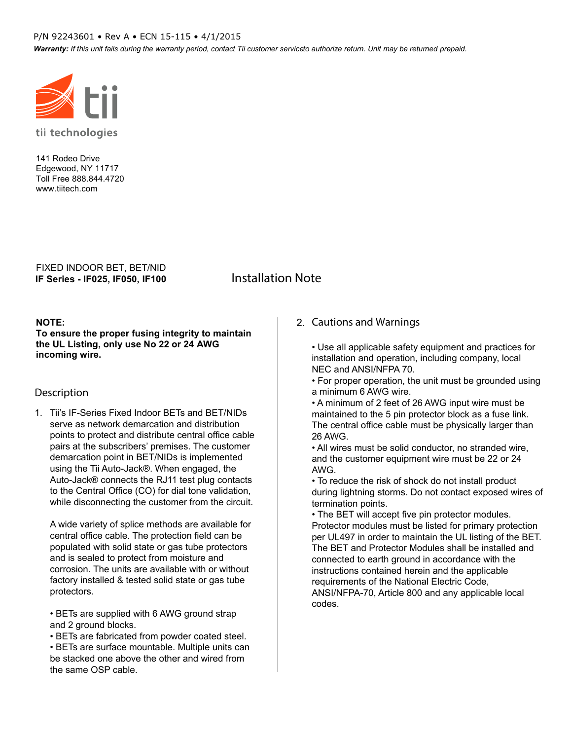#### P/N 92243601 • Rev A • ECN 15-115 • 4/1/2015

Warranty: If this unit fails during the warranty period, contact Tii customer serviceto authorize return. Unit may be returned prepaid.



141 Rodeo Drive Edgewood, NY 11717 Toll Free 888.844.4720 www.tiitech.com

**IF Series - IF025, IF050, IF100** FIXED INDOOR BET, BET/NID

# **Installation Note**

#### **NOTE:**

**To ensure the proper fusing integrity to maintain the UL Listing, only use No 22 or 24 AWG incoming wire.**

#### **Description**

1. Tii's IF-Series Fixed Indoor BETs and BET/NIDs serve as network demarcation and distribution points to protect and distribute central office cable pairs at the subscribers' premises. The customer demarcation point in BET/NIDs is implemented using the Tii Auto-Jack®. When engaged, the Auto-Jack® connects the RJ11 test plug contacts to the Central Office (CO) for dial tone validation, while disconnecting the customer from the circuit.

A wide variety of splice methods are available for central office cable. The protection field can be populated with solid state or gas tube protectors and is sealed to protect from moisture and corrosion. The units are available with or without factory installed & tested solid state or gas tube protectors.

• BETs are supplied with 6 AWG ground strap and 2 ground blocks.

• BETs are fabricated from powder coated steel.

• BETs are surface mountable. Multiple units can be stacked one above the other and wired from the same OSP cable.

#### 2. **Cautions and Warnings**

• Use all applicable safety equipment and practices for installation and operation, including company, local NEC and ANSI/NFPA 70.

• For proper operation, the unit must be grounded using a minimum 6 AWG wire.

• A minimum of 2 feet of 26 AWG input wire must be maintained to the 5 pin protector block as a fuse link. The central office cable must be physically larger than 26 AWG.

• All wires must be solid conductor, no stranded wire, and the customer equipment wire must be 22 or 24 AWG.

• To reduce the risk of shock do not install product during lightning storms. Do not contact exposed wires of termination points.

• The BET will accept five pin protector modules. Protector modules must be listed for primary protection per UL497 in order to maintain the UL listing of the BET. The BET and Protector Modules shall be installed and connected to earth ground in accordance with the instructions contained herein and the applicable requirements of the National Electric Code, ANSI/NFPA-70, Article 800 and any applicable local codes.